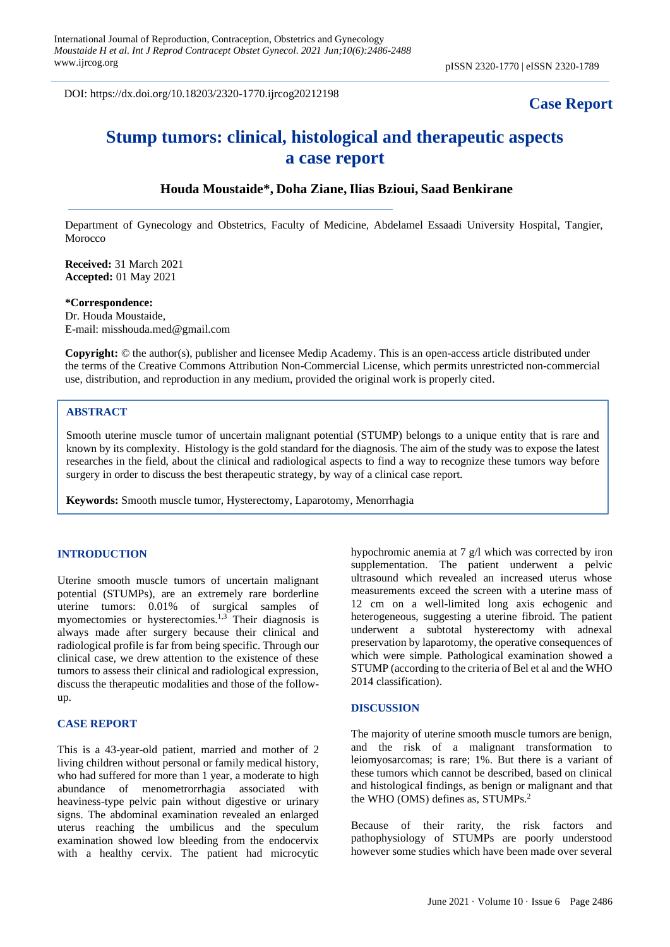DOI: https://dx.doi.org/10.18203/2320-1770.ijrcog20212198

# **Case Report**

# **Stump tumors: clinical, histological and therapeutic aspects a case report**

## **Houda Moustaide\*, Doha Ziane, Ilias Bzioui, Saad Benkirane**

Department of Gynecology and Obstetrics, Faculty of Medicine, Abdelamel Essaadi University Hospital, Tangier, Morocco

**Received:** 31 March 2021 **Accepted:** 01 May 2021

**\*Correspondence:** Dr. Houda Moustaide, E-mail: misshouda.med@gmail.com

**Copyright:** © the author(s), publisher and licensee Medip Academy. This is an open-access article distributed under the terms of the Creative Commons Attribution Non-Commercial License, which permits unrestricted non-commercial use, distribution, and reproduction in any medium, provided the original work is properly cited.

### **ABSTRACT**

Smooth uterine muscle tumor of uncertain malignant potential (STUMP) belongs to a unique entity that is rare and known by its complexity. Histology is the gold standard for the diagnosis. The aim of the study was to expose the latest researches in the field, about the clinical and radiological aspects to find a way to recognize these tumors way before surgery in order to discuss the best therapeutic strategy, by way of a clinical case report.

**Keywords:** Smooth muscle tumor, Hysterectomy, Laparotomy, Menorrhagia

### **INTRODUCTION**

Uterine smooth muscle tumors of uncertain malignant potential (STUMPs), are an extremely rare borderline uterine tumors: 0.01% of surgical samples of myomectomies or hysterectomies.1,3 Their diagnosis is always made after surgery because their clinical and radiological profile is far from being specific. Through our clinical case, we drew attention to the existence of these tumors to assess their clinical and radiological expression, discuss the therapeutic modalities and those of the followup.

#### **CASE REPORT**

This is a 43-year-old patient, married and mother of 2 living children without personal or family medical history, who had suffered for more than 1 year, a moderate to high abundance of menometrorrhagia associated with heaviness-type pelvic pain without digestive or urinary signs. The abdominal examination revealed an enlarged uterus reaching the umbilicus and the speculum examination showed low bleeding from the endocervix with a healthy cervix. The patient had microcytic hypochromic anemia at 7 g/l which was corrected by iron supplementation. The patient underwent a pelvic ultrasound which revealed an increased uterus whose measurements exceed the screen with a uterine mass of 12 cm on a well-limited long axis echogenic and heterogeneous, suggesting a uterine fibroid. The patient underwent a subtotal hysterectomy with adnexal preservation by laparotomy, the operative consequences of which were simple. Pathological examination showed a STUMP (according to the criteria of Bel et al and the WHO 2014 classification).

#### **DISCUSSION**

The majority of uterine smooth muscle tumors are benign, and the risk of a malignant transformation to leiomyosarcomas; is rare; 1%. But there is a variant of these tumors which cannot be described, based on clinical and histological findings, as benign or malignant and that the WHO (OMS) defines as, STUMPs.<sup>2</sup>

Because of their rarity, the risk factors and pathophysiology of STUMPs are poorly understood however some studies which have been made over several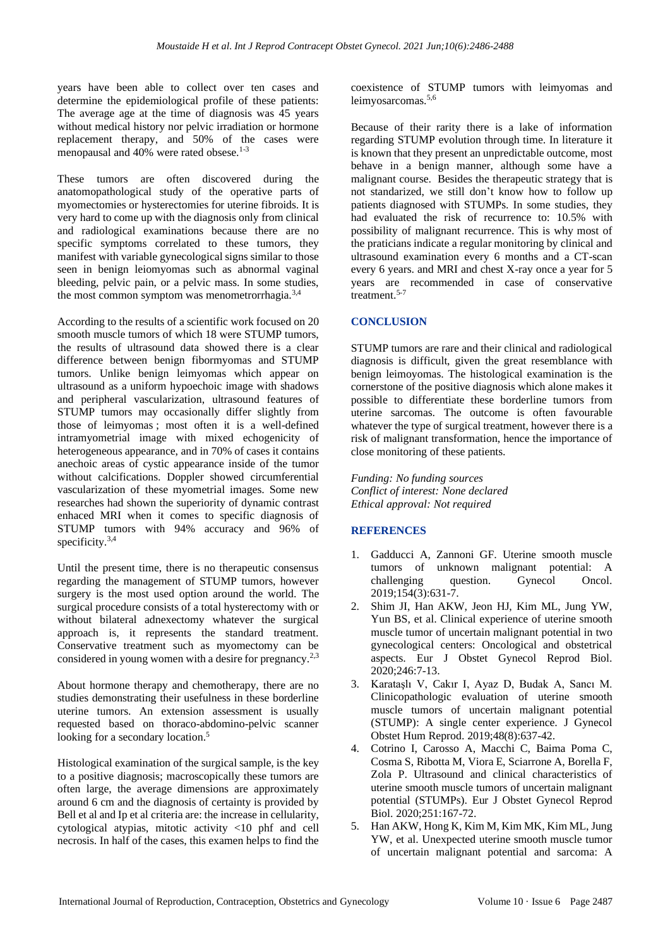years have been able to collect over ten cases and determine the epidemiological profile of these patients: The average age at the time of diagnosis was 45 years without medical history nor pelvic irradiation or hormone replacement therapy, and 50% of the cases were menopausal and 40% were rated obsese.<sup>1-3</sup>

These tumors are often discovered during the anatomopathological study of the operative parts of myomectomies or hysterectomies for uterine fibroids. It is very hard to come up with the diagnosis only from clinical and radiological examinations because there are no specific symptoms correlated to these tumors, they manifest with variable gynecological signs similar to those seen in benign leiomyomas such as abnormal vaginal bleeding, pelvic pain, or a pelvic mass. In some studies, the most common symptom was menometrorrhagia.<sup>3,4</sup>

According to the results of a scientific work focused on 20 smooth muscle tumors of which 18 were STUMP tumors, the results of ultrasound data showed there is a clear difference between benign fibormyomas and STUMP tumors. Unlike benign leimyomas which appear on ultrasound as a uniform hypoechoic image with shadows and peripheral vascularization, ultrasound features of STUMP tumors may occasionally differ slightly from those of leimyomas ; most often it is a well-defined intramyometrial image with mixed echogenicity of heterogeneous appearance, and in 70% of cases it contains anechoic areas of cystic appearance inside of the tumor without calcifications. Doppler showed circumferential vascularization of these myometrial images. Some new researches had shown the superiority of dynamic contrast enhaced MRI when it comes to specific diagnosis of STUMP tumors with 94% accuracy and 96% of specificity.<sup>3,4</sup>

Until the present time, there is no therapeutic consensus regarding the management of STUMP tumors, however surgery is the most used option around the world. The surgical procedure consists of a total hysterectomy with or without bilateral adnexectomy whatever the surgical approach is, it represents the standard treatment. Conservative treatment such as myomectomy can be considered in young women with a desire for pregnancy.<sup>2,3</sup>

About hormone therapy and chemotherapy, there are no studies demonstrating their usefulness in these borderline uterine tumors. An extension assessment is usually requested based on thoraco-abdomino-pelvic scanner looking for a secondary location.<sup>5</sup>

Histological examination of the surgical sample, is the key to a positive diagnosis; macroscopically these tumors are often large, the average dimensions are approximately around 6 cm and the diagnosis of certainty is provided by Bell et al and Ip et al criteria are: the increase in cellularity, cytological atypias, mitotic activity <10 phf and cell necrosis. In half of the cases, this examen helps to find the coexistence of STUMP tumors with leimyomas and leimyosarcomas.<sup>5,6</sup>

Because of their rarity there is a lake of information regarding STUMP evolution through time. In literature it is known that they present an unpredictable outcome, most behave in a benign manner, although some have a malignant course. Besides the therapeutic strategy that is not standarized, we still don't know how to follow up patients diagnosed with STUMPs. In some studies, they had evaluated the risk of recurrence to: 10.5% with possibility of malignant recurrence. This is why most of the praticians indicate a regular monitoring by clinical and ultrasound examination every 6 months and a CT-scan every 6 years. and MRI and chest X-ray once a year for 5 years are recommended in case of conservative treatment.<sup>5-7</sup>

### **CONCLUSION**

STUMP tumors are rare and their clinical and radiological diagnosis is difficult, given the great resemblance with benign leimoyomas. The histological examination is the cornerstone of the positive diagnosis which alone makes it possible to differentiate these borderline tumors from uterine sarcomas. The outcome is often favourable whatever the type of surgical treatment, however there is a risk of malignant transformation, hence the importance of close monitoring of these patients.

*Funding: No funding sources Conflict of interest: None declared Ethical approval: Not required*

### **REFERENCES**

- 1. Gadducci A, Zannoni GF. Uterine smooth muscle tumors of unknown malignant potential: A challenging question. Gynecol Oncol. 2019;154(3):631-7.
- 2. Shim JI, Han AKW, Jeon HJ, Kim ML, Jung YW, Yun BS, et al. Clinical experience of uterine smooth muscle tumor of uncertain malignant potential in two gynecological centers: Oncological and obstetrical aspects. Eur J Obstet Gynecol Reprod Biol. 2020;246:7-13.
- 3. Karataşlı V, Cakır I, Ayaz D, Budak A, Sancı M. Clinicopathologic evaluation of uterine smooth muscle tumors of uncertain malignant potential (STUMP): A single center experience. J Gynecol Obstet Hum Reprod. 2019;48(8):637-42.
- 4. Cotrino I, Carosso A, Macchi C, Baima Poma C, Cosma S, Ribotta M, Viora E, Sciarrone A, Borella F, Zola P. Ultrasound and clinical characteristics of uterine smooth muscle tumors of uncertain malignant potential (STUMPs). Eur J Obstet Gynecol Reprod Biol. 2020;251:167-72.
- 5. Han AKW, Hong K, Kim M, Kim MK, Kim ML, Jung YW, et al. Unexpected uterine smooth muscle tumor of uncertain malignant potential and sarcoma: A